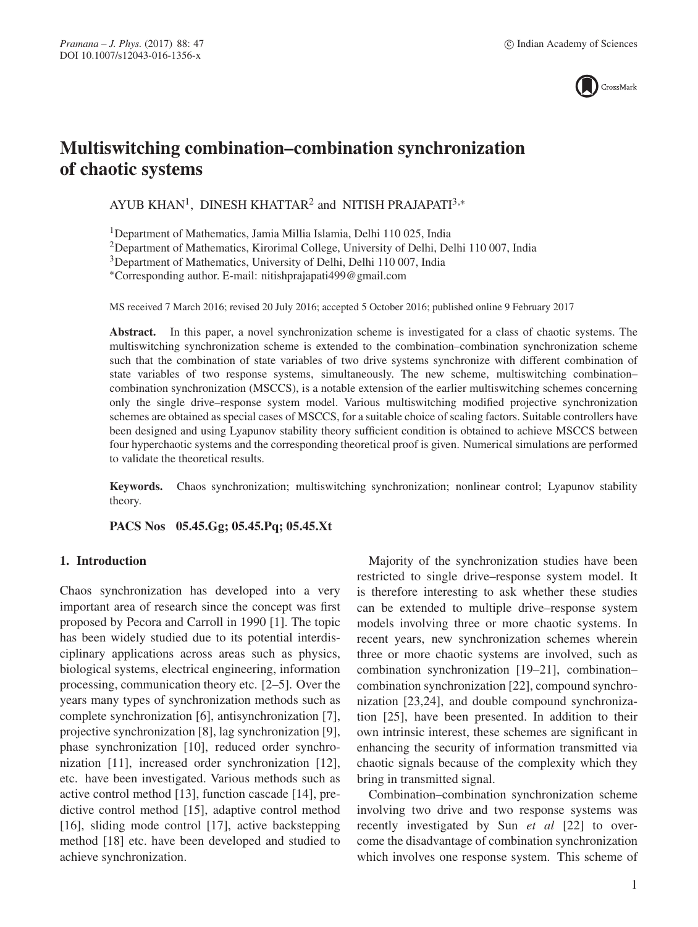

# **Multiswitching combination–combination synchronization of chaotic systems**

AYUB KHAN<sup>1</sup>, DINESH KHATTAR<sup>2</sup> and NITISH PRAJAPATI<sup>3,∗</sup>

<sup>1</sup>Department of Mathematics, Jamia Millia Islamia, Delhi 110 025, India

<sup>2</sup>Department of Mathematics, Kirorimal College, University of Delhi, Delhi 110 007, India

<sup>3</sup>Department of Mathematics, University of Delhi, Delhi 110 007, India

∗Corresponding author. E-mail: nitishprajapati499@gmail.com

MS received 7 March 2016; revised 20 July 2016; accepted 5 October 2016; published online 9 February 2017

**Abstract.** In this paper, a novel synchronization scheme is investigated for a class of chaotic systems. The multiswitching synchronization scheme is extended to the combination–combination synchronization scheme such that the combination of state variables of two drive systems synchronize with different combination of state variables of two response systems, simultaneously. The new scheme, multiswitching combination– combination synchronization (MSCCS), is a notable extension of the earlier multiswitching schemes concerning only the single drive–response system model. Various multiswitching modified projective synchronization schemes are obtained as special cases of MSCCS, for a suitable choice of scaling factors. Suitable controllers have been designed and using Lyapunov stability theory sufficient condition is obtained to achieve MSCCS between four hyperchaotic systems and the corresponding theoretical proof is given. Numerical simulations are performed to validate the theoretical results.

**Keywords.** Chaos synchronization; multiswitching synchronization; nonlinear control; Lyapunov stability theory.

**PACS Nos 05.45.Gg; 05.45.Pq; 05.45.Xt**

## **1. Introduction**

Chaos synchronization has developed into a very important area of research since the concept was first proposed by Pecora and Carroll in 1990 [1]. The topic has been widely studied due to its potential interdisciplinary applications across areas such as physics, biological systems, electrical engineering, information processing, communication theory etc. [2–5]. Over the years many types of synchronization methods such as complete synchronization [6], antisynchronization [7], projective synchronization [8], lag synchronization [9], phase synchronization [10], reduced order synchronization [11], increased order synchronization [12], etc. have been investigated. Various methods such as active control method [13], function cascade [14], predictive control method [15], adaptive control method [16], sliding mode control [17], active backstepping method [18] etc. have been developed and studied to achieve synchronization.

Majority of the synchronization studies have been restricted to single drive–response system model. It is therefore interesting to ask whether these studies can be extended to multiple drive–response system models involving three or more chaotic systems. In recent years, new synchronization schemes wherein three or more chaotic systems are involved, such as combination synchronization [19–21], combination– combination synchronization [22], compound synchronization [23,24], and double compound synchronization [25], have been presented. In addition to their own intrinsic interest, these schemes are significant in enhancing the security of information transmitted via chaotic signals because of the complexity which they bring in transmitted signal.

Combination–combination synchronization scheme involving two drive and two response systems was recently investigated by Sun *et al* [22] to overcome the disadvantage of combination synchronization which involves one response system. This scheme of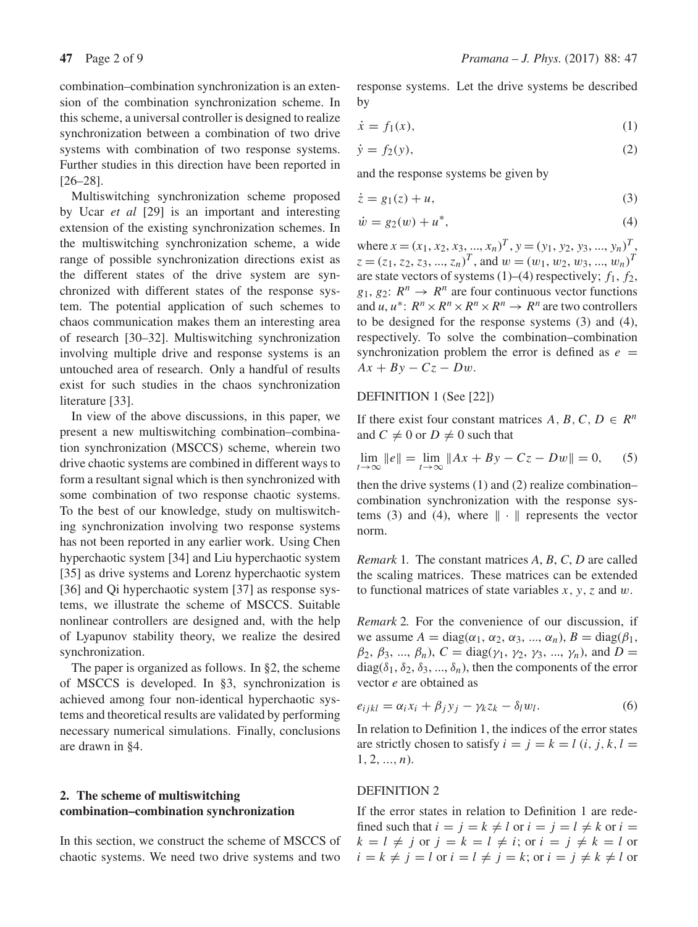combination–combination synchronization is an extension of the combination synchronization scheme. In this scheme, a universal controller is designed to realize synchronization between a combination of two drive systems with combination of two response systems. Further studies in this direction have been reported in [26–28].

Multiswitching synchronization scheme proposed by Ucar *et al* [29] is an important and interesting extension of the existing synchronization schemes. In the multiswitching synchronization scheme, a wide range of possible synchronization directions exist as the different states of the drive system are synchronized with different states of the response system. The potential application of such schemes to chaos communication makes them an interesting area of research [30–32]. Multiswitching synchronization involving multiple drive and response systems is an untouched area of research. Only a handful of results exist for such studies in the chaos synchronization literature [33].

In view of the above discussions, in this paper, we present a new multiswitching combination–combination synchronization (MSCCS) scheme, wherein two drive chaotic systems are combined in different ways to form a resultant signal which is then synchronized with some combination of two response chaotic systems. To the best of our knowledge, study on multiswitching synchronization involving two response systems has not been reported in any earlier work. Using Chen hyperchaotic system [34] and Liu hyperchaotic system [35] as drive systems and Lorenz hyperchaotic system [36] and Qi hyperchaotic system [37] as response systems, we illustrate the scheme of MSCCS. Suitable nonlinear controllers are designed and, with the help of Lyapunov stability theory, we realize the desired synchronization.

The paper is organized as follows. In §2, the scheme of MSCCS is developed. In §3, synchronization is achieved among four non-identical hyperchaotic systems and theoretical results are validated by performing necessary numerical simulations. Finally, conclusions are drawn in §4.

## **2. The scheme of multiswitching combination–combination synchronization**

In this section, we construct the scheme of MSCCS of chaotic systems. We need two drive systems and two response systems. Let the drive systems be described by

$$
\dot{x} = f_1(x),\tag{1}
$$

$$
\dot{y} = f_2(y),\tag{2}
$$

and the response systems be given by

$$
\dot{z} = g_1(z) + u,\tag{3}
$$

$$
\dot{w} = g_2(w) + u^*,\tag{4}
$$

where  $x = (x_1, x_2, x_3, ..., x_n)^T$ ,  $y = (y_1, y_2, y_3, ..., y_n)^T$  $z = (z_1, z_2, z_3, ..., z_n)^T$ , and  $w = (w_1, w_2, w_3, ..., w_n)^T$ are state vectors of systems  $(1)$ – $(4)$  respectively;  $f_1$ ,  $f_2$ ,  $g_1, g_2: R^n \to R^n$  are four continuous vector functions and *u*,  $u^*$ :  $R^n \times R^n \times R^n \times R^n \to R^n$  are two controllers to be designed for the response systems (3) and (4), respectively. To solve the combination–combination synchronization problem the error is defined as  $e =$  $Ax + By - Cz - Dw$ .

## DEFINITION 1 (See [22])

If there exist four constant matrices  $A, B, C, D \in \mathbb{R}^n$ and  $C \neq 0$  or  $D \neq 0$  such that

$$
\lim_{t \to \infty} ||e|| = \lim_{t \to \infty} ||Ax + By - Cz - Dw|| = 0,
$$
 (5)

then the drive systems (1) and (2) realize combination– combination synchronization with the response systems (3) and (4), where  $\|\cdot\|$  represents the vector norm.

*Remark* 1*.* The constant matrices *A*, *B*, *C*, *D* are called the scaling matrices. These matrices can be extended to functional matrices of state variables *x, y,z* and *w*.

*Remark* 2*.* For the convenience of our discussion, if we assume  $A = \text{diag}(\alpha_1, \alpha_2, \alpha_3, ..., \alpha_n), B = \text{diag}(\beta_1,$ *β*<sub>2</sub>, *β*<sub>3</sub>, ..., *β*<sub>*n*</sub>), *C* = diag( $γ$ <sub>1</sub>,  $γ$ <sub>2</sub>,  $γ$ <sub>3</sub>, ...,  $γ$ <sub>*n*</sub>), and *D* = diag( $\delta_1$ ,  $\delta_2$ ,  $\delta_3$ , ...,  $\delta_n$ ), then the components of the error vector *e* are obtained as

$$
e_{ijkl} = \alpha_i x_i + \beta_j y_j - \gamma_k z_k - \delta_l w_l. \tag{6}
$$

In relation to Definition 1, the indices of the error states are strictly chosen to satisfy  $i = j = k = l$  (*i*, *j*, *k*, *l* =  $1, 2, ..., n$ .

#### DEFINITION 2

If the error states in relation to Definition 1 are redefined such that  $i = j = k \neq l$  or  $i = j = l \neq k$  or  $i =$  $k = l \neq j$  or  $j = k = l \neq i$ ; or  $i = j \neq k = l$  or  $i = k \neq j = l$  or  $i = l \neq j = k$ ; or  $i = j \neq k \neq l$  or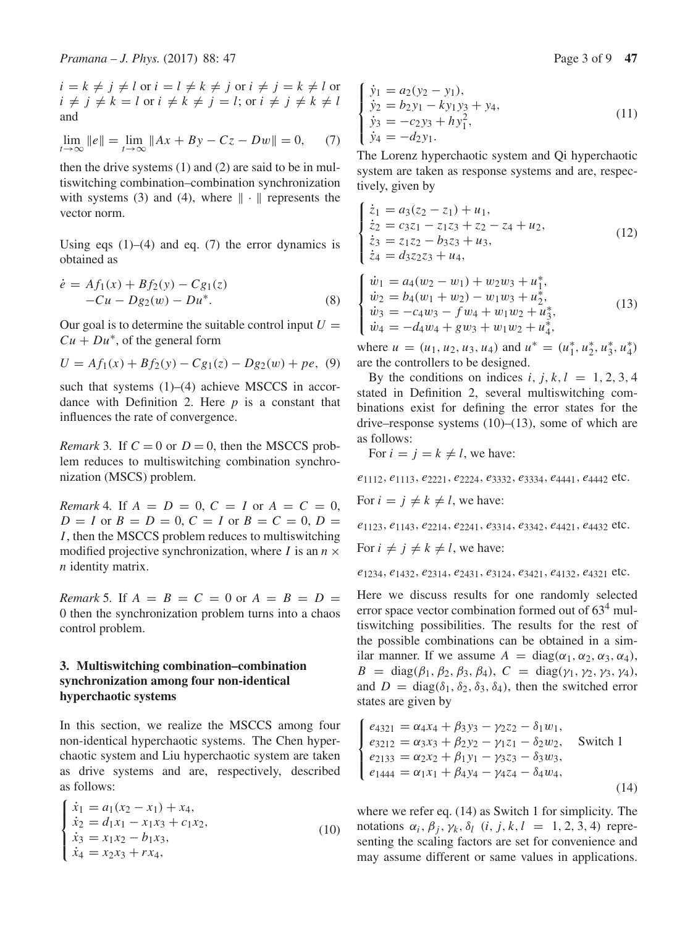$i = k \neq j \neq l$  or  $i = l \neq k \neq j$  or  $i \neq j = k \neq l$  or  $i \neq j \neq k = l$  or  $i \neq k \neq j = l$ ; or  $i \neq j \neq k \neq l$ and

$$
\lim_{t \to \infty} ||e|| = \lim_{t \to \infty} ||Ax + By - Cz - Dw|| = 0, \quad (7)
$$

then the drive systems (1) and (2) are said to be in multiswitching combination–combination synchronization with systems (3) and (4), where  $\|\cdot\|$  represents the vector norm.

Using eqs  $(1)$ – $(4)$  and eq.  $(7)$  the error dynamics is obtained as

$$
\dot{e} = Af_1(x) + Bf_2(y) - Cg_1(z) -Cu - Dg_2(w) - Du^*.
$$
 (8)

Our goal is to determine the suitable control input  $U =$  $Cu + Du^*$ , of the general form

$$
U = Af_1(x) + Bf_2(y) - Cg_1(z) - Dg_2(w) + pe, \tag{9}
$$

such that systems  $(1)$ – $(4)$  achieve MSCCS in accordance with Definition 2. Here *p* is a constant that influences the rate of convergence.

*Remark* 3. If  $C = 0$  or  $D = 0$ , then the MSCCS problem reduces to multiswitching combination synchronization (MSCS) problem.

*Remark* 4*.* If  $A = D = 0$ ,  $C = I$  or  $A = C = 0$ ,  $D = I$  or  $B = D = 0$ ,  $C = I$  or  $B = C = 0$ ,  $D =$ *I* , then the MSCCS problem reduces to multiswitching modified projective synchronization, where  $I$  is an  $n \times$ *n* identity matrix.

*Remark* 5*.* If  $A = B = C = 0$  or  $A = B = D =$ 0 then the synchronization problem turns into a chaos control problem.

# **3. Multiswitching combination–combination synchronization among four non-identical hyperchaotic systems**

 $\epsilon$ .

In this section, we realize the MSCCS among four non-identical hyperchaotic systems. The Chen hyperchaotic system and Liu hyperchaotic system are taken as drive systems and are, respectively, described as follows:

$$
\begin{cases}\n\dot{x}_1 = a_1(x_2 - x_1) + x_4, \\
\dot{x}_2 = d_1x_1 - x_1x_3 + c_1x_2, \\
\dot{x}_3 = x_1x_2 - b_1x_3, \\
\dot{x}_4 = x_2x_3 + rx_4,\n\end{cases}
$$
\n(10)

$$
\dot{y}_1 = a_2(y_2 - y_1), \n\dot{y}_2 = b_2y_1 - ky_1y_3 + y_4, \n\dot{y}_3 = -c_2y_3 + hy_1^2, \n\dot{y}_4 = -d_2y_1.
$$
\n(11)

 $\sqrt{2}$  $\int$ 

 $\overline{\mathsf{I}}$ 

The Lorenz hyperchaotic system and Qi hyperchaotic system are taken as response systems and are, respectively, given by

$$
\begin{cases}\n\dot{z}_1 = a_3(z_2 - z_1) + u_1, \\
\dot{z}_2 = c_3 z_1 - z_1 z_3 + z_2 - z_4 + u_2, \\
\dot{z}_3 = z_1 z_2 - b_3 z_3 + u_3, \\
\dot{z}_4 = d_3 z_2 z_3 + u_4,\n\end{cases}
$$
\n(12)

$$
\begin{cases}\n\dot{w}_1 = a_4(w_2 - w_1) + w_2w_3 + u_1^*,\n\dot{w}_2 = b_4(w_1 + w_2) - w_1w_3 + u_2^*,\n\dot{w}_3 = -c_4w_3 - fw_4 + w_1w_2 + u_3^*,\n\dot{w}_4 = -d_4w_4 + gw_3 + w_1w_2 + u_4^*,\n\end{cases}
$$
\n(13)

where  $u = (u_1, u_2, u_3, u_4)$  and  $u^* = (u_1^*, u_2^*, u_3^*, u_4^*)$ are the controllers to be designed.

By the conditions on indices *i, j, k, l* = 1, 2, 3, 4 stated in Definition 2, several multiswitching combinations exist for defining the error states for the drive–response systems (10)–(13), some of which are as follows:

For  $i = j = k \neq l$ , we have:

*e*1112*, e*1113*, e*2221*, e*2224*, e*3332*, e*3334*, e*4441*, e*<sup>4442</sup> etc*.*

For 
$$
i = j \neq k \neq l
$$
, we have:

*e*1123*, e*1143*, e*2214*, e*2241*, e*3314*, e*3342*, e*4421*, e*<sup>4432</sup> etc*.*

For  $i \neq j \neq k \neq l$ , we have:

*e*1234*, e*1432*, e*2314*, e*2431*, e*3124*, e*3421*, e*4132*, e*<sup>4321</sup> etc*.*

Here we discuss results for one randomly selected error space vector combination formed out of  $63<sup>4</sup>$  multiswitching possibilities. The results for the rest of the possible combinations can be obtained in a similar manner. If we assume  $A = \text{diag}(\alpha_1, \alpha_2, \alpha_3, \alpha_4)$ ,  $B = \text{diag}(\beta_1, \beta_2, \beta_3, \beta_4), C = \text{diag}(\gamma_1, \gamma_2, \gamma_3, \gamma_4),$ and  $D = \text{diag}(\delta_1, \delta_2, \delta_3, \delta_4)$ , then the switched error states are given by

$$
\begin{cases}\n e_{4321} = \alpha_4 x_4 + \beta_3 y_3 - \gamma_2 z_2 - \delta_1 w_1, \\
 e_{3212} = \alpha_3 x_3 + \beta_2 y_2 - \gamma_1 z_1 - \delta_2 w_2, \\
 e_{2133} = \alpha_2 x_2 + \beta_1 y_1 - \gamma_3 z_3 - \delta_3 w_3, \\
 e_{1444} = \alpha_1 x_1 + \beta_4 y_4 - \gamma_4 z_4 - \delta_4 w_4,\n\end{cases}
$$
\n(14)

where we refer eq. (14) as Switch 1 for simplicity. The notations  $α<sub>i</sub>, β<sub>j</sub>, γ<sub>k</sub>, δ<sub>l</sub>$  (*i, j, k, l* = 1, 2, 3, 4) representing the scaling factors are set for convenience and may assume different or same values in applications.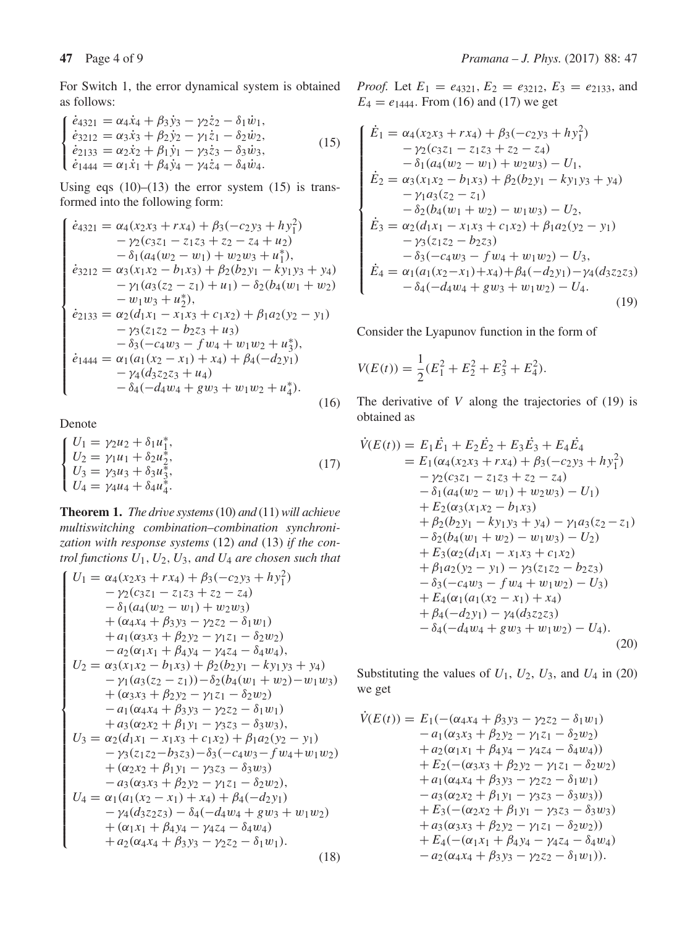For Switch 1, the error dynamical system is obtained as follows:

$$
\begin{cases}\n\dot{e}_{4321} = \alpha_4 \dot{x}_4 + \beta_3 \dot{y}_3 - \gamma_2 \dot{z}_2 - \delta_1 \dot{w}_1, \\
\dot{e}_{3212} = \alpha_3 \dot{x}_3 + \beta_2 \dot{y}_2 - \gamma_1 \dot{z}_1 - \delta_2 \dot{w}_2, \\
\dot{e}_{2133} = \alpha_2 \dot{x}_2 + \beta_1 \dot{y}_1 - \gamma_3 \dot{z}_3 - \delta_3 \dot{w}_3, \\
\dot{e}_{1444} = \alpha_1 \dot{x}_1 + \beta_4 \dot{y}_4 - \gamma_4 \dot{z}_4 - \delta_4 \dot{w}_4.\n\end{cases} (15)
$$

Using eqs  $(10)$ – $(13)$  the error system  $(15)$  is transformed into the following form:

$$
\begin{cases}\n\dot{e}_{4321} = \alpha_4(x_2x_3 + rx_4) + \beta_3(-c_2y_3 + hy_1^2) \\
- \gamma_2(c_3z_1 - z_1z_3 + z_2 - z_4 + u_2) \\
- \delta_1(a_4(w_2 - w_1) + w_2w_3 + u_1^*), \\
\dot{e}_{3212} = \alpha_3(x_1x_2 - b_1x_3) + \beta_2(b_2y_1 - ky_1y_3 + y_4) \\
- \gamma_1(a_3(z_2 - z_1) + u_1) - \delta_2(b_4(w_1 + w_2) \\
- w_1w_3 + u_2^*), \\
\dot{e}_{2133} = \alpha_2(d_1x_1 - x_1x_3 + c_1x_2) + \beta_1a_2(y_2 - y_1) \\
- \gamma_3(z_1z_2 - b_2z_3 + u_3) \\
- \delta_3(-c_4w_3 - fw_4 + w_1w_2 + u_3^*), \\
\dot{e}_{1444} = \alpha_1(a_1(x_2 - x_1) + x_4) + \beta_4(-d_2y_1) \\
- \gamma_4(d_3z_2z_3 + u_4) \\
- \delta_4(-d_4w_4 + gw_3 + w_1w_2 + u_4^*).\n\end{cases}
$$
\n(16)

Denote

$$
\begin{cases}\nU_1 = \gamma_2 u_2 + \delta_1 u_1^*, \\
U_2 = \gamma_1 u_1 + \delta_2 u_2^*, \\
U_3 = \gamma_3 u_3 + \delta_3 u_3^*, \\
U_4 = \gamma_4 u_4 + \delta_4 u_4^*. \n\end{cases} (17)
$$

**Theorem 1.** *The drive systems*(10) *and* (11) *will achieve multiswitching combination–combination synchronization with response systems* (12) *and* (13) *if the control functions U*1*, U*2*, U*3*, and U*<sup>4</sup> *are chosen such that*

$$
U_1 = \alpha_4(x_2x_3 + rx_4) + \beta_3(-c_2y_3 + hy_1^2) \n- \gamma_2(c_3z_1 - z_1z_3 + z_2 - z_4) \n- \delta_1(a_4(w_2 - w_1) + w_2w_3) \n+ (\alpha_4x_4 + \beta_3y_3 - \gamma_2z_2 - \delta_1w_1) \n+ a_1(\alpha_3x_3 + \beta_2y_2 - \gamma_1z_1 - \delta_2w_2) \n- a_2(\alpha_1x_1 + \beta_4y_4 - \gamma_4z_4 - \delta_4w_4), \nU_2 = \alpha_3(x_1x_2 - b_1x_3) + \beta_2(b_2y_1 - ky_1y_3 + y_4) \n- \gamma_1(a_3(z_2 - z_1)) - \delta_2(b_4(w_1 + w_2) - w_1w_3) \n+ (\alpha_3x_3 + \beta_2y_2 - \gamma_1z_1 - \delta_2w_2) \n- a_1(\alpha_4x_4 + \beta_3y_3 - \gamma_2z_2 - \delta_1w_1) \n+ a_3(\alpha_2x_2 + \beta_1y_1 - \gamma_3z_3 - \delta_3w_3), \nU_3 = \alpha_2(d_1x_1 - x_1x_3 + c_1x_2) + \beta_1a_2(y_2 - y_1) \n- \gamma_3(z_1z_2 - b_3z_3) - \delta_3(-c_4w_3 - f w_4 + w_1w_2) \n+ (\alpha_2x_2 + \beta_1y_1 - \gamma_3z_3 - \delta_3w_3) \n- a_3(\alpha_3x_3 + \beta_2y_2 - \gamma_1z_1 - \delta_2w_2), \nU_4 = \alpha_1(a_1(x_2 - x_1) + x_4) + \beta_4(-d_2y_1) \n- \gamma_4(d_3z_2z_3) - \delta_4(-d_4w_4 + g w_3 + w_1w_2) \n+ (\alpha_1x_1 + \beta_4y_4 - \gamma_4z_4 - \delta_4w_4) \n+ a_2(\alpha_4x_4 + \beta_3y_3 - \gamma_2z_2 - \delta_1w_1
$$

*Proof.* Let  $E_1 = e_{4321}$ ,  $E_2 = e_{3212}$ ,  $E_3 = e_{2133}$ , and  $E_4 = e_{1444}$ . From (16) and (17) we get

$$
\begin{cases}\n\dot{E}_1 = \alpha_4(x_2x_3 + rx_4) + \beta_3(-c_2y_3 + hy_1^2) \\
- \gamma_2(c_3z_1 - z_1z_3 + z_2 - z_4) \\
- \delta_1(a_4(w_2 - w_1) + w_2w_3) - U_1, \\
\dot{E}_2 = \alpha_3(x_1x_2 - b_1x_3) + \beta_2(b_2y_1 - ky_1y_3 + y_4) \\
- \gamma_1a_3(z_2 - z_1) \\
- \delta_2(b_4(w_1 + w_2) - w_1w_3) - U_2, \\
\dot{E}_3 = \alpha_2(d_1x_1 - x_1x_3 + c_1x_2) + \beta_1a_2(y_2 - y_1) \\
- \gamma_3(z_1z_2 - b_2z_3) \\
- \delta_3(-c_4w_3 - fw_4 + w_1w_2) - U_3, \\
\dot{E}_4 = \alpha_1(a_1(x_2 - x_1) + x_4) + \beta_4(-d_2y_1) - \gamma_4(d_3z_2z_3) \\
- \delta_4(-d_4w_4 + gw_3 + w_1w_2) - U_4.\n\end{cases}
$$
\n(19)

Consider the Lyapunov function in the form of

$$
V(E(t)) = \frac{1}{2}(E_1^2 + E_2^2 + E_3^2 + E_4^2).
$$

The derivative of *V* along the trajectories of (19) is obtained as

$$
\dot{V}(E(t)) = E_1 \dot{E}_1 + E_2 \dot{E}_2 + E_3 \dot{E}_3 + E_4 \dot{E}_4
$$
\n
$$
= E_1(\alpha_4(x_2x_3 + rx_4) + \beta_3(-c_2y_3 + hy_1^2) - \gamma_2(c_3z_1 - z_1z_3 + z_2 - z_4) - \delta_1(a_4(w_2 - w_1) + w_2w_3) - U_1) + E_2(\alpha_3(x_1x_2 - b_1x_3) + \beta_2(b_2y_1 - ky_1y_3 + y_4) - \gamma_1a_3(z_2 - z_1) - \delta_2(b_4(w_1 + w_2) - w_1w_3) - U_2) + E_3(\alpha_2(d_1x_1 - x_1x_3 + c_1x_2) + \beta_1a_2(y_2 - y_1) - \gamma_3(z_1z_2 - b_2z_3) - \delta_3(-c_4w_3 - fw_4 + w_1w_2) - U_3) + E_4(\alpha_1(a_1(x_2 - x_1) + x_4) + \beta_4(-d_2y_1) - \gamma_4(d_3z_2z_3) - \delta_4(-d_4w_4 + gw_3 + w_1w_2) - U_4).
$$
\n(20)

Substituting the values of  $U_1$ ,  $U_2$ ,  $U_3$ , and  $U_4$  in (20) we get

$$
V(E(t)) = E_1(-(a_4x_4 + \beta_3y_3 - \gamma_2z_2 - \delta_1w_1)- a_1(a_3x_3 + \beta_2y_2 - \gamma_1z_1 - \delta_2w_2)+ a_2(a_1x_1 + \beta_4y_4 - \gamma_4z_4 - \delta_4w_4))+ E_2(-(a_3x_3 + \beta_2y_2 - \gamma_1z_1 - \delta_2w_2)+ a_1(a_4x_4 + \beta_3y_3 - \gamma_2z_2 - \delta_1w_1)- a_3(a_2x_2 + \beta_1y_1 - \gamma_3z_3 - \delta_3w_3))+ E_3(-(a_2x_2 + \beta_1y_1 - \gamma_3z_3 - \delta_3w_3)+ a_3(a_3x_3 + \beta_2y_2 - \gamma_1z_1 - \delta_2w_2))+ E_4(-(a_1x_1 + \beta_4y_4 - \gamma_4z_4 - \delta_4w_4)- a_2(a_4x_4 + \beta_3y_3 - \gamma_2z_2 - \delta_1w_1)).
$$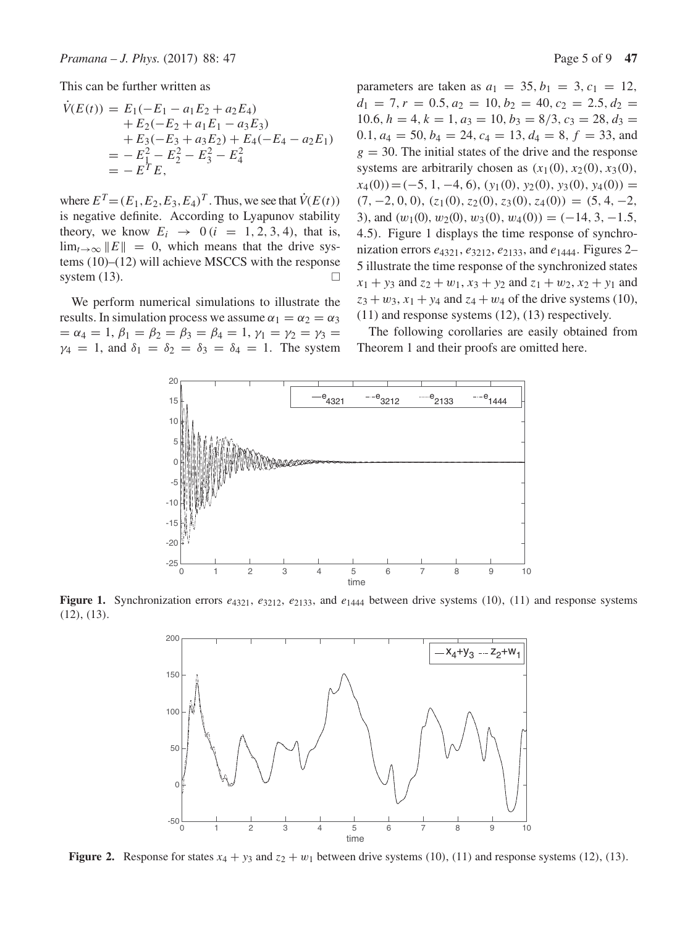This can be further written as

$$
\dot{V}(E(t)) = E_1(-E_1 - a_1E_2 + a_2E_4) \n+ E_2(-E_2 + a_1E_1 - a_3E_3) \n+ E_3(-E_3 + a_3E_2) + E_4(-E_4 - a_2E_1) \n= -E_1^2 - E_2^2 - E_3^2 - E_4^2 \n= -E^T E,
$$

where  $E^T = (E_1, E_2, E_3, E_4)^T$ . Thus, we see that  $\dot{V}(E(t))$ is negative definite. According to Lyapunov stability theory, we know  $E_i \rightarrow 0$  ( $i = 1, 2, 3, 4$ ), that is,  $\lim_{t\to\infty}$   $||E|| = 0$ , which means that the drive systems (10)–(12) will achieve MSCCS with the response system  $(13)$ .

We perform numerical simulations to illustrate the results. In simulation process we assume  $\alpha_1 = \alpha_2 = \alpha_3$  $= \alpha_4 = 1, \beta_1 = \beta_2 = \beta_3 = \beta_4 = 1, \gamma_1 = \gamma_2 = \gamma_3 =$  $\gamma_4 = 1$ , and  $\delta_1 = \delta_2 = \delta_3 = \delta_4 = 1$ . The system parameters are taken as  $a_1 = 35, b_1 = 3, c_1 = 12,$  $d_1 = 7, r = 0.5, a_2 = 10, b_2 = 40, c_2 = 2.5, d_2 =$  $10.6, h = 4, k = 1, a_3 = 10, b_3 = 8/3, c_3 = 28, d_3 =$ 0.1,  $a_4 = 50$ ,  $b_4 = 24$ ,  $c_4 = 13$ ,  $d_4 = 8$ ,  $f = 33$ , and  $g = 30$ . The initial states of the drive and the response systems are arbitrarily chosen as  $(x_1(0), x_2(0), x_3(0),$ *x*<sub>4</sub>(0)) = (−5, 1, −4, 6), (y<sub>1</sub>(0), y<sub>2</sub>(0), y<sub>3</sub>(0), y<sub>4</sub>(0)) = *(*7*,* −2*,* 0*,* 0*)*, *(z*1*(*0*), z*2*(*0*), z*3*(*0*), z*4*(*0*))* = *(*5*,* 4*,* −2*,* 3), and  $(w_1(0), w_2(0), w_3(0), w_4(0)) = (-14, 3, -1.5,$ 4*.*5*)*. Figure 1 displays the time response of synchronization errors *e*4321, *e*3212, *e*2133, and *e*1444. Figures 2– 5 illustrate the time response of the synchronized states  $x_1 + y_3$  and  $z_2 + w_1$ ,  $x_3 + y_2$  and  $z_1 + w_2$ ,  $x_2 + y_1$  and  $z_3 + w_3$ ,  $x_1 + y_4$  and  $z_4 + w_4$  of the drive systems (10), (11) and response systems (12), (13) respectively.

The following corollaries are easily obtained from Theorem 1 and their proofs are omitted here.



**Figure 1.** Synchronization errors *e*4321, *e*3212, *e*2133, and *e*<sup>1444</sup> between drive systems *(*10*)*, *(*11*)* and response systems *(*12*)*, *(*13*)*.



**Figure 2.** Response for states  $x_4 + y_3$  and  $z_2 + w_1$  between drive systems (10), (11) and response systems (12), (13).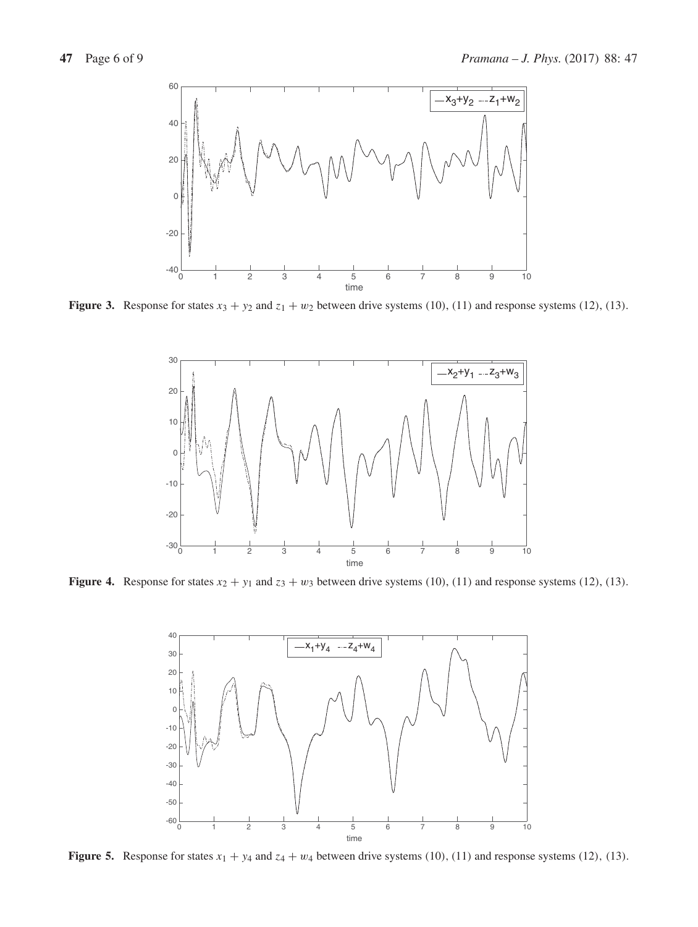

**Figure 3.** Response for states  $x_3 + y_2$  and  $z_1 + w_2$  between drive systems (10), (11) and response systems (12), (13).



**Figure 4.** Response for states  $x_2 + y_1$  and  $z_3 + w_3$  between drive systems (10), (11) and response systems (12), (13).



**Figure 5.** Response for states  $x_1 + y_4$  and  $z_4 + w_4$  between drive systems (10), (11) and response systems (12), (13).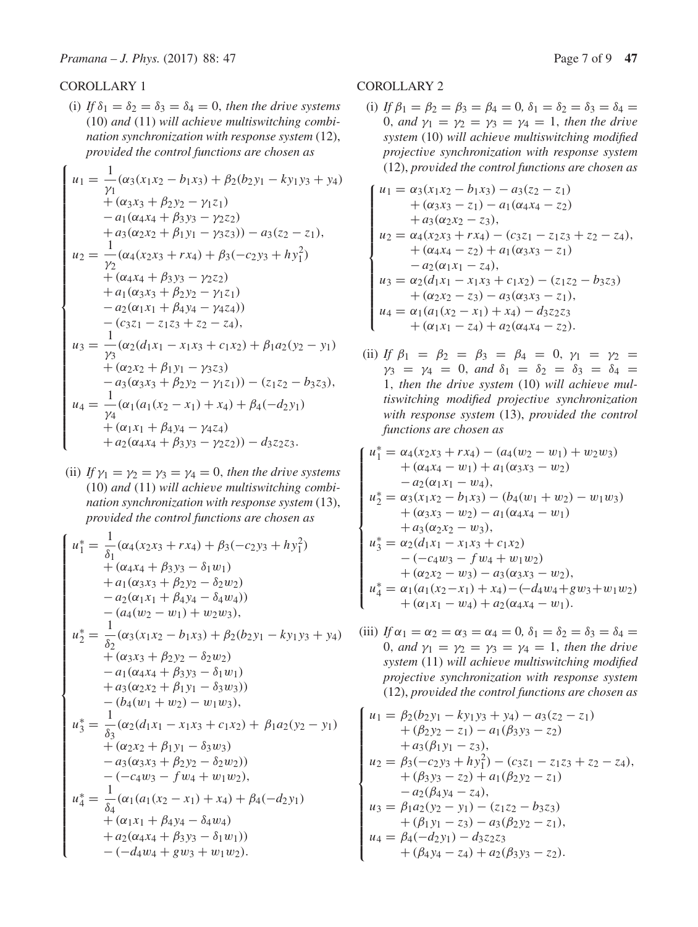## COROLLARY 1

(i) *If*  $\delta_1 = \delta_2 = \delta_3 = \delta_4 = 0$ *, then the drive systems* (10) *and* (11) *will achieve multiswitching combination synchronization with response system* (12), *provided the control functions are chosen as*

$$
\begin{cases}\nu_1 = \frac{1}{\gamma_1} (\alpha_3(x_1x_2 - b_1x_3) + \beta_2(b_2y_1 - ky_1y_3 + y_4) \\
+ (\alpha_3x_3 + \beta_2y_2 - \gamma_1z_1) \\
- a_1(\alpha_4x_4 + \beta_3y_3 - \gamma_2z_2) \\
+ a_3(\alpha_2x_2 + \beta_1y_1 - \gamma_3z_3)) - a_3(z_2 - z_1), \\
u_2 = \frac{1}{\gamma_2} (\alpha_4(x_2x_3 + rx_4) + \beta_3(-c_2y_3 + hy_1^2) \\
+ (\alpha_4x_4 + \beta_3y_3 - \gamma_2z_2) \\
+ a_1(\alpha_3x_3 + \beta_2y_2 - \gamma_1z_1) \\
- a_2(\alpha_1x_1 + \beta_4y_4 - \gamma_4z_4)) \\
- (c_3z_1 - z_1z_3 + z_2 - z_4), \\
u_3 = \frac{1}{\gamma_3} (\alpha_2(d_1x_1 - x_1x_3 + c_1x_2) + \beta_1a_2(y_2 - y_1) \\
+ (\alpha_2x_2 + \beta_1y_1 - \gamma_3z_3) \\
- a_3(\alpha_3x_3 + \beta_2y_2 - \gamma_1z_1)) - (z_1z_2 - b_3z_3), \\
u_4 = \frac{1}{\gamma_4} (\alpha_1(a_1(x_2 - x_1) + x_4) + \beta_4(-d_2y_1) \\
+ (\alpha_1x_1 + \beta_4y_4 - \gamma_4z_4) \\
+ a_2(\alpha_4x_4 + \beta_3y_3 - \gamma_2z_2)) - d_3z_2z_3.\n\end{cases}
$$

(ii) *If*  $\gamma_1 = \gamma_2 = \gamma_3 = \gamma_4 = 0$ *, then the drive systems* (10) *and* (11) *will achieve multiswitching combination synchronization with response system* (13), *provided the control functions are chosen as*

$$
\begin{cases}\nu_1^* = \frac{1}{\delta_1}(\alpha_4(x_2x_3 + rx_4) + \beta_3(-c_2y_3 + hy_1^2) \\
+ (\alpha_4x_4 + \beta_3y_3 - \delta_1w_1) \\
+ a_1(\alpha_3x_3 + \beta_2y_2 - \delta_2w_2) \\
- a_2(\alpha_1x_1 + \beta_4y_4 - \delta_4w_4)) \\
- (a_4(w_2 - w_1) + w_2w_3), \\
u_2^* = \frac{1}{\delta_2}(\alpha_3(x_1x_2 - b_1x_3) + \beta_2(b_2y_1 - ky_1y_3 + y_4) \\
+ (\alpha_3x_3 + \beta_2y_2 - \delta_2w_2) \\
- a_1(\alpha_4x_4 + \beta_3y_3 - \delta_1w_1) \\
+ a_3(\alpha_2x_2 + \beta_1y_1 - \delta_3w_3)) \\
- (b_4(w_1 + w_2) - w_1w_3), \\
u_3^* = \frac{1}{\delta_3}(\alpha_2(d_1x_1 - x_1x_3 + c_1x_2) + \beta_1a_2(y_2 - y_1) \\
+ (\alpha_2x_2 + \beta_1y_1 - \delta_3w_3) \\
- a_3(\alpha_3x_3 + \beta_2y_2 - \delta_2w_2)) \\
- (-c_4w_3 - fw_4 + w_1w_2), \\
u_4^* = \frac{1}{\delta_4}(\alpha_1(a_1(x_2 - x_1) + x_4) + \beta_4(-d_2y_1) \\
+ (\alpha_1x_1 + \beta_4y_4 - \delta_4w_4) \\
+ a_2(\alpha_4x_4 + \beta_3y_3 - \delta_1w_1)) \\
- (-d_4w_4 + gw_3 + w_1w_2).\n\end{cases}
$$

#### COROLLARY 2

(i) *If*  $\beta_1 = \beta_2 = \beta_3 = \beta_4 = 0$ ,  $\delta_1 = \delta_2 = \delta_3 = \delta_4 =$ 0*,* and  $\gamma_1 = \gamma_2 = \gamma_3 = \gamma_4 = 1$ *, then the drive system* (10) *will achieve multiswitching modified projective synchronization with response system* (12), *provided the control functions are chosen as*

$$
\begin{cases}\nu_1 = \alpha_3(x_1x_2 - b_1x_3) - a_3(z_2 - z_1) \\
+ (\alpha_3x_3 - z_1) - a_1(\alpha_4x_4 - z_2) \\
+ a_3(\alpha_2x_2 - z_3), \\
u_2 = \alpha_4(x_2x_3 + rx_4) - (c_3z_1 - z_1z_3 + z_2 - z_4), \\
+ (\alpha_4x_4 - z_2) + a_1(\alpha_3x_3 - z_1) \\
- a_2(\alpha_1x_1 - z_4), \\
u_3 = \alpha_2(d_1x_1 - x_1x_3 + c_1x_2) - (z_1z_2 - b_3z_3) \\
+ (\alpha_2x_2 - z_3) - a_3(\alpha_3x_3 - z_1), \\
u_4 = \alpha_1(a_1(x_2 - x_1) + x_4) - d_3z_2z_3 \\
+ (\alpha_1x_1 - z_4) + a_2(\alpha_4x_4 - z_2).\n\end{cases}
$$

(ii) *If*  $\beta_1 = \beta_2 = \beta_3 = \beta_4 = 0, \gamma_1 = \gamma_2 =$ *γ*<sub>3</sub> = *γ*<sub>4</sub> = 0*, and*  $\delta_1$  =  $\delta_2$  =  $\delta_3$  =  $\delta_4$  = 1*, then the drive system* (10) *will achieve multiswitching modified projective synchronization with response system* (13), *provided the control functions are chosen as*

$$
\begin{cases}\nu_1^* = \alpha_4(x_2x_3 + rx_4) - (a_4(w_2 - w_1) + w_2w_3) \\
+ (\alpha_4x_4 - w_1) + a_1(\alpha_3x_3 - w_2) \\
-a_2(\alpha_1x_1 - w_4), \\
u_2^* = \alpha_3(x_1x_2 - b_1x_3) - (b_4(w_1 + w_2) - w_1w_3) \\
+ (\alpha_3x_3 - w_2) - a_1(\alpha_4x_4 - w_1) \\
+ a_3(\alpha_2x_2 - w_3), \\
u_3^* = \alpha_2(d_1x_1 - x_1x_3 + c_1x_2) \\
- (-c_4w_3 - fw_4 + w_1w_2) \\
+ (\alpha_2x_2 - w_3) - a_3(\alpha_3x_3 - w_2), \\
u_4^* = \alpha_1(a_1(x_2 - x_1) + x_4) - (-d_4w_4 + gw_3 + w_1w_2) \\
+ (\alpha_1x_1 - w_4) + a_2(\alpha_4x_4 - w_1).\n\end{cases}
$$

(iii)  $If \alpha_1 = \alpha_2 = \alpha_3 = \alpha_4 = 0, \delta_1 = \delta_2 = \delta_3 = \delta_4 =$ 0*, and γ*<sup>1</sup> = *γ*<sup>2</sup> = *γ*<sup>3</sup> = *γ*<sup>4</sup> = 1*, then the drive system* (11) *will achieve multiswitching modified projective synchronization with response system* (12), *provided the control functions are chosen as*

$$
\begin{cases}\nu_1 = \beta_2(b_2y_1 - ky_1y_3 + y_4) - a_3(z_2 - z_1) \\
+ (\beta_2y_2 - z_1) - a_1(\beta_3y_3 - z_2) \\
+ a_3(\beta_1y_1 - z_3), \\
u_2 = \beta_3(-c_2y_3 + hy_1^2) - (c_3z_1 - z_1z_3 + z_2 - z_4), \\
+ (\beta_3y_3 - z_2) + a_1(\beta_2y_2 - z_1) \\
- a_2(\beta_4y_4 - z_4), \\
u_3 = \beta_1a_2(y_2 - y_1) - (z_1z_2 - b_3z_3) \\
+ (\beta_1y_1 - z_3) - a_3(\beta_2y_2 - z_1), \\
u_4 = \beta_4(-d_2y_1) - d_3z_2z_3 \\
+ (\beta_4y_4 - z_4) + a_2(\beta_3y_3 - z_2).\n\end{cases}
$$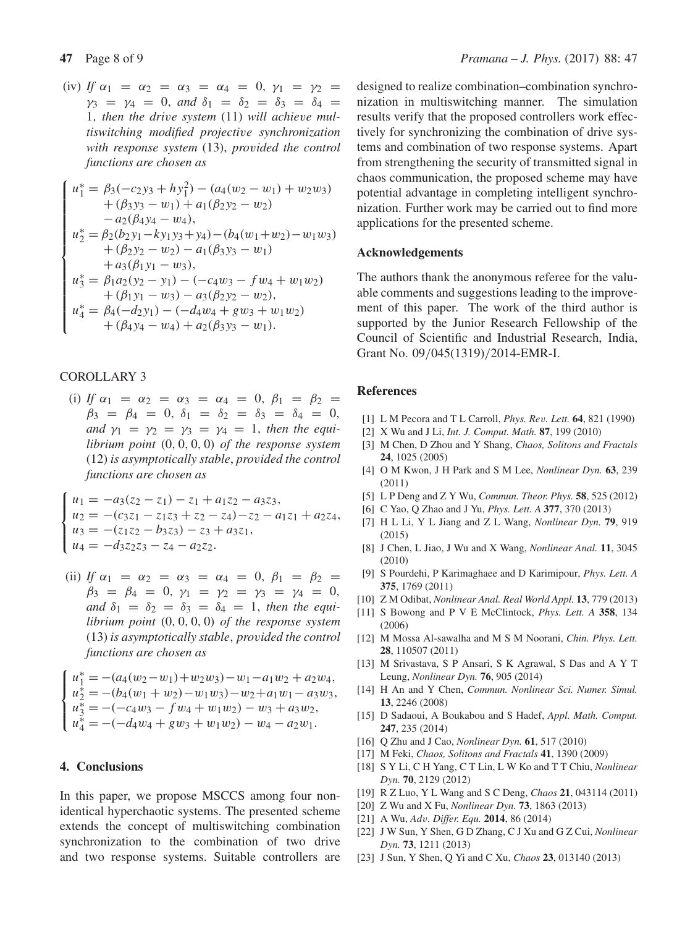(iv) *If*  $\alpha_1 = \alpha_2 = \alpha_3 = \alpha_4 = 0$ ,  $\gamma_1 = \gamma_2 =$ *γ*<sub>3</sub> = *γ*<sub>4</sub> = 0*, and*  $\delta_1$  =  $\delta_2$  =  $\delta_3$  =  $\delta_4$  = 1*, then the drive system* (11) *will achieve multiswitching modified projective synchronization with response system* (13), *provided the control functions are chosen as*

$$
\begin{cases}\nu_1^* = \beta_3(-c_2y_3 + hy_1^2) - (a_4(w_2 - w_1) + w_2w_3) \\
+ (\beta_3y_3 - w_1) + a_1(\beta_2y_2 - w_2) \\
-a_2(\beta_4y_4 - w_4), \\
u_2^* = \beta_2(b_2y_1 - ky_1y_3 + y_4) - (b_4(w_1 + w_2) - w_1w_3) \\
+ (\beta_2y_2 - w_2) - a_1(\beta_3y_3 - w_1) \\
+ a_3(\beta_1y_1 - w_3), \\
u_3^* = \beta_1a_2(y_2 - y_1) - (-c_4w_3 - fw_4 + w_1w_2) \\
+ (\beta_1y_1 - w_3) - a_3(\beta_2y_2 - w_2), \\
u_4^* = \beta_4(-d_2y_1) - (-d_4w_4 + gw_3 + w_1w_2) \\
+ (\beta_4y_4 - w_4) + a_2(\beta_3y_3 - w_1).\n\end{cases}
$$

### COROLLARY 3

(i) *If*  $\alpha_1 = \alpha_2 = \alpha_3 = \alpha_4 = 0, \ \beta_1 = \beta_2 = 0$  $\beta_3 = \beta_4 = 0, \ \delta_1 = \delta_2 = \delta_3 = \delta_4 = 0,$ *and*  $\gamma_1 = \gamma_2 = \gamma_3 = \gamma_4 = 1$ , *then the equilibrium point (*0*,* 0*,* 0*,* 0*) of the response system* (12) *is asymptotically stable*, *provided the control functions are chosen as*

$$
\begin{cases}\n u_1 = -a_3(z_2 - z_1) - z_1 + a_1z_2 - a_3z_3, \\
 u_2 = -(c_3z_1 - z_1z_3 + z_2 - z_4) - z_2 - a_1z_1 + a_2z_4, \\
 u_3 = -(z_1z_2 - b_3z_3) - z_3 + a_3z_1, \\
 u_4 = -d_3z_2z_3 - z_4 - a_2z_2.\n\end{cases}
$$

(ii) *If*  $\alpha_1 = \alpha_2 = \alpha_3 = \alpha_4 = 0, \ \beta_1 = \beta_2 = 0$  $\beta_3 = \beta_4 = 0, \ \gamma_1 = \gamma_2 = \gamma_3 = \gamma_4 = 0,$  $and \delta_1 = \delta_2 = \delta_3 = \delta_4 = 1$ , *then the equilibrium point (*0*,* 0*,* 0*,* 0*) of the response system* (13) *is asymptotically stable, provided the control functions are chosen as*

$$
\begin{cases}\nu_1^* = -(a_4(w_2 - w_1) + w_2w_3) - w_1 - a_1w_2 + a_2w_4, \nu_2^* = -(b_4(w_1 + w_2) - w_1w_3) - w_2 + a_1w_1 - a_3w_3, \nu_3^* = -(-c_4w_3 - fw_4 + w_1w_2) - w_3 + a_3w_2, \nu_4^* = -(-d_4w_4 + gw_3 + w_1w_2) - w_4 - a_2w_1.\n\end{cases}
$$

## **4. Conclusions**

In this paper, we propose MSCCS among four nonidentical hyperchaotic systems. The presented scheme extends the concept of multiswitching combination synchronization to the combination of two drive and two response systems. Suitable controllers are designed to realize combination–combination synchronization in multiswitching manner. The simulation results verify that the proposed controllers work effectively for synchronizing the combination of drive systems and combination of two response systems. Apart from strengthening the security of transmitted signal in chaos communication, the proposed scheme may have potential advantage in completing intelligent synchronization. Further work may be carried out to find more applications for the presented scheme.

#### **Acknowledgements**

The authors thank the anonymous referee for the valuable comments and suggestions leading to the improvement of this paper. The work of the third author is supported by the Junior Research Fellowship of the Council of Scientific and Industrial Research, India, Grant No. 09*/*045(1319)*/*2014-EMR-I.

#### **References**

- [1] L M Pecora and T L Carroll, *Phys. Rev. Lett.* **64**, 821 (1990)
- [2] X Wu and J Li, *Int. J. Comput. Math.* **87**, 199 (2010)
- [3] M Chen, D Zhou and Y Shang, *Chaos, Solitons and Fractals* **24**, 1025 (2005)
- [4] O M Kwon, J H Park and S M Lee, *Nonlinear Dyn.* **63**, 239 (2011)
- [5] L P Deng and Z Y Wu, *Commun. Theor. Phys.* **58**, 525 (2012)
- [6] C Yao, Q Zhao and J Yu, *Phys. Lett. A* **377**, 370 (2013)
- [7] H L Li, Y L Jiang and Z L Wang, *Nonlinear Dyn.* **79**, 919 (2015)
- [8] J Chen, L Jiao, J Wu and X Wang, *Nonlinear Anal.* **11**, 3045 (2010)
- [9] S Pourdehi, P Karimaghaee and D Karimipour, *Phys. Lett. A* **375**, 1769 (2011)
- [10] Z M Odibat, *Nonlinear Anal. Real World Appl.* **13**, 779 (2013)
- [11] S Bowong and P V E McClintock, *Phys. Lett. A* **358**, 134 (2006)
- [12] M Mossa Al-sawalha and M S M Noorani, *Chin. Phys. Lett.* **28**, 110507 (2011)
- [13] M Srivastava, S P Ansari, S K Agrawal, S Das and A Y T Leung, *Nonlinear Dyn.* **76**, 905 (2014)
- [14] H An and Y Chen, *Commun. Nonlinear Sci. Numer. Simul.* **13**, 2246 (2008)
- [15] D Sadaoui, A Boukabou and S Hadef, *Appl. Math. Comput.* **247**, 235 (2014)
- [16] Q Zhu and J Cao, *Nonlinear Dyn.* **61**, 517 (2010)
- [17] M Feki, *Chaos, Solitons and Fractals* **41**, 1390 (2009)
- [18] S Y Li, C H Yang, C T Lin, L W Ko and T T Chiu, *Nonlinear Dyn.* **70**, 2129 (2012)
- [19] R Z Luo, Y L Wang and S C Deng, *Chaos* **21**, 043114 (2011)
- [20] Z Wu and X Fu, *Nonlinear Dyn.* **73**, 1863 (2013)
- [21] A Wu, *Adv. Differ. Equ.* **2014**, 86 (2014)
- [22] J W Sun, Y Shen, G D Zhang, C J Xu and G Z Cui, *Nonlinear Dyn.* **73**, 1211 (2013)
- [23] J Sun, Y Shen, Q Yi and C Xu, *Chaos* **23**, 013140 (2013)